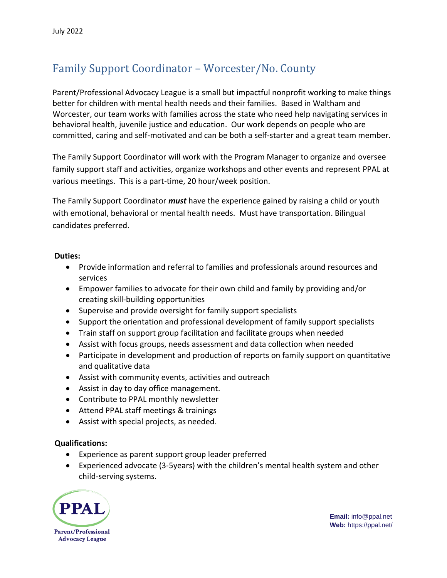## Family Support Coordinator – Worcester/No. County

Parent/Professional Advocacy League is a small but impactful nonprofit working to make things better for children with mental health needs and their families. Based in Waltham and Worcester, our team works with families across the state who need help navigating services in behavioral health, juvenile justice and education. Our work depends on people who are committed, caring and self-motivated and can be both a self-starter and a great team member.

The Family Support Coordinator will work with the Program Manager to organize and oversee family support staff and activities, organize workshops and other events and represent PPAL at various meetings. This is a part-time, 20 hour/week position.

The Family Support Coordinator *must* have the experience gained by raising a child or youth with emotional, behavioral or mental health needs. Must have transportation. Bilingual candidates preferred.

## **Duties:**

- Provide information and referral to families and professionals around resources and services
- Empower families to advocate for their own child and family by providing and/or creating skill-building opportunities
- Supervise and provide oversight for family support specialists
- Support the orientation and professional development of family support specialists
- Train staff on support group facilitation and facilitate groups when needed
- Assist with focus groups, needs assessment and data collection when needed
- Participate in development and production of reports on family support on quantitative and qualitative data
- Assist with community events, activities and outreach
- Assist in day to day office management.
- Contribute to PPAL monthly newsletter
- Attend PPAL staff meetings & trainings
- Assist with special projects, as needed.

## **Qualifications:**

- Experience as parent support group leader preferred
- Experienced advocate (3-5years) with the children's mental health system and other child-serving systems.



**Email:** info@ppal.net **Web:** https://ppal.net/